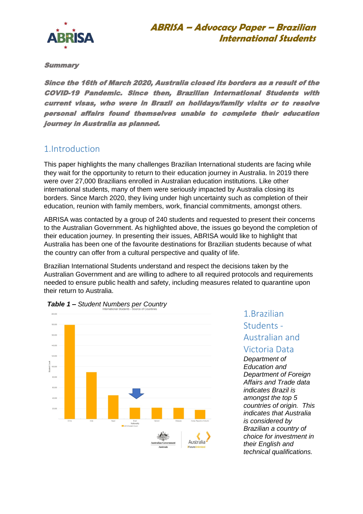

Summary

Since the 16th of March 2020, Australia closed its borders as a result of the COVID-19 Pandemic. Since then, Brazilian International Students with current visas, who were in Brazil on holidays/family visits or to resolve personal affairs found themselves unable to complete their education journey in Australia as planned.

### 1.Introduction

This paper highlights the many challenges Brazilian International students are facing while they wait for the opportunity to return to their education journey in Australia. In 2019 there were over 27,000 Brazilians enrolled in Australian education institutions. Like other international students, many of them were seriously impacted by Australia closing its borders. Since March 2020, they living under high uncertainty such as completion of their education, reunion with family members, work, financial commitments, amongst others.

ABRISA was contacted by a group of 240 students and requested to present their concerns to the Australian Government. As highlighted above, the issues go beyond the completion of their education journey. In presenting their issues, ABRISA would like to highlight that Australia has been one of the favourite destinations for Brazilian students because of what the country can offer from a cultural perspective and quality of life.

Brazilian International Students understand and respect the decisions taken by the Australian Government and are willing to adhere to all required protocols and requirements needed to ensure public health and safety, including measures related to quarantine upon their return to Australia.





# 1.Brazilian Students - Australian and

### Victoria Data

*Department of Education and Department of Foreign Affairs and Trade data indicates Brazil is amongst the top 5 countries of origin. This indicates that Australia is considered by Brazilian a country of choice for investment in their English and technical qualifications.*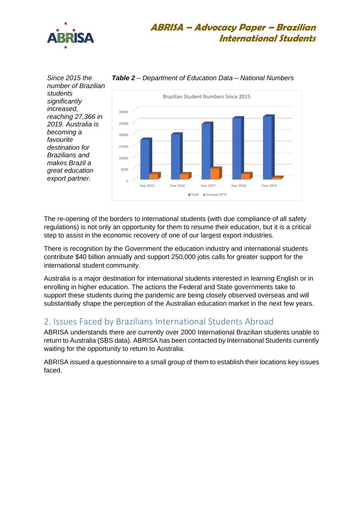

*Since 2015 the number of Brazilian students significantly increased, reaching 27,366 in 2019. Australia is becoming a favourite destination for Brazilians and makes Brazil a great education export partner.* 



*Table 2 – Department of Education Data – National Numbers* 

The re-opening of the borders to international students (with due compliance of all safety regulations) is not only an opportunity for them to resume their education, but it is a critical step to assist in the economic recovery of one of our largest export industries.

There is recognition by the Government the education industry and international students contribute \$40 billion annually and support 250,000 jobs calls for greater support for the international student community.

Australia is a major destination for international students interested in learning English or in enrolling in higher education. The actions the Federal and State governments take to support these students during the pandemic are being closely observed overseas and will substantially shape the perception of the Australian education market in the next few years.

### 2. Issues Faced by Brazilians International Students Abroad

ABRISA understands there are currently over 2000 International Brazilian students unable to return to Australia (SBS data). ABRISA has been contacted by International Students currently waiting for the opportunity to return to Australia.

ABRISA issued a questionnaire to a small group of them to establish their locations key issues faced.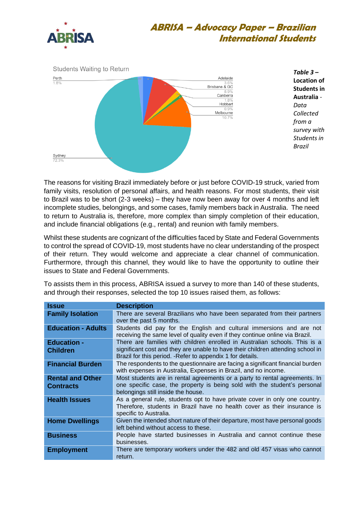



*Table 3 –* **Location of Students in Australia** *- Data Collected from a survey with Students in Brazil* 

The reasons for visiting Brazil immediately before or just before COVID-19 struck, varied from family visits, resolution of personal affairs, and health reasons. For most students, their visit to Brazil was to be short (2-3 weeks) – they have now been away for over 4 months and left incomplete studies, belongings, and some cases, family members back in Australia. The need to return to Australia is, therefore, more complex than simply completion of their education, and include financial obligations (e.g., rental) and reunion with family members.

Whilst these students are cognizant of the difficulties faced by State and Federal Governments to control the spread of COVID-19, most students have no clear understanding of the prospect of their return. They would welcome and appreciate a clear channel of communication. Furthermore, through this channel, they would like to have the opportunity to outline their issues to State and Federal Governments.

To assists them in this process, ABRISA issued a survey to more than 140 of these students, and through their responses, selected the top 10 issues raised them, as follows:

| <b>Issue</b>                          | <b>Description</b>                                                                                                                                                                                                          |
|---------------------------------------|-----------------------------------------------------------------------------------------------------------------------------------------------------------------------------------------------------------------------------|
| <b>Family Isolation</b>               | There are several Brazilians who have been separated from their partners<br>over the past 5 months.                                                                                                                         |
| <b>Education - Adults</b>             | Students did pay for the English and cultural immersions and are not<br>receiving the same level of quality even if they continue online via Brazil.                                                                        |
| <b>Education -</b><br><b>Children</b> | There are families with children enrolled in Australian schools. This is a<br>significant cost and they are unable to have their children attending school in<br>Brazil for this period. - Refer to appendix 1 for details. |
| <b>Financial Burden</b>               | The respondents to the questionnaire are facing a significant financial burden<br>with expenses in Australia, Expenses in Brazil, and no income.                                                                            |
| <b>Rental and Other</b><br>Contracts  | Most students are in rental agreements or a party to rental agreements. In<br>one specific case, the property is being sold with the student's personal<br>belongings still inside the house.                               |
| <b>Health Issues</b>                  | As a general rule, students opt to have private cover in only one country.<br>Therefore, students in Brazil have no health cover as their insurance is<br>specific to Australia.                                            |
| <b>Home Dwellings</b>                 | Given the intended short nature of their departure, most have personal goods<br>left behind without access to these.                                                                                                        |
| <b>Business</b>                       | People have started businesses in Australia and cannot continue these<br>businesses.                                                                                                                                        |
| <b>Employment</b>                     | There are temporary workers under the 482 and old 457 visas who cannot<br>return.                                                                                                                                           |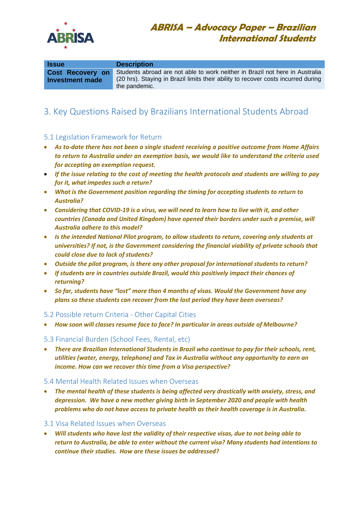

| <b>Issue</b>                               | <b>Description</b>                                                                                                                                                                 |
|--------------------------------------------|------------------------------------------------------------------------------------------------------------------------------------------------------------------------------------|
| <b>Cost Recovery on</b><br>Investment made | Students abroad are not able to work neither in Brazil not here in Australia<br>(20 hrs). Staying in Brazil limits their ability to recover costs incurred during<br>the pandemic. |

## 3. Key Questions Raised by Brazilians International Students Abroad

#### 5.1 Legislation Framework for Return

- *As to-date there has not been a single student receiving a positive outcome from Home Affairs to return to Australia under an exemption basis, we would like to understand the criteria used for accepting an exemption request.*
- *If the issue relating to the cost of meeting the health protocols and students are willing to pay for it, what impedes such a return?*
- *What is the Government position regarding the timing for accepting students to return to Australia?*
- *Considering that COVID-19 is a virus, we will need to learn how to live with it, and other countries (Canada and United Kingdom) have opened their borders under such a premise, will Australia adhere to this model?*
- *Is the intended National Pilot program, to allow students to return, covering only students at universities? If not, is the Government considering the financial viability of private schools that could close due to lack of students?*
- *Outside the pilot program, is there any other proposal for international students to return?*
- *If students are in countries outside Brazil, would this positively impact their chances of returning?*
- *So far, students have "lost" more than 4 months of visas. Would the Government have any plans so these students can recover from the lost period they have been overseas?*

#### 5.2 Possible return Criteria - Other Capital Cities

• *How soon will classes resume face to face? In particular in areas outside of Melbourne?*

#### 5.3 Financial Burden (School Fees, Rental, etc)

• *There are Brazilian International Students in Brazil who continue to pay for their schools, rent, utilities (water, energy, telephone) and Tax in Australia without any opportunity to earn an income. How can we recover this time from a Visa perspective?*

#### 5.4 Mental Health Related Issues when Overseas

• *The mental health of these students is being affected very drastically with anxiety, stress, and depression. We have a new mother giving birth in September 2020 and people with health problems who do not have access to private health as their health coverage is in Australia.* 

#### 3.1 Visa Related Issues when Overseas

• *Will students who have lost the validity of their respective visas, due to not being able to return to Australia, be able to enter without the current visa? Many students had intentions to continue their studies. How are these issues be addressed?*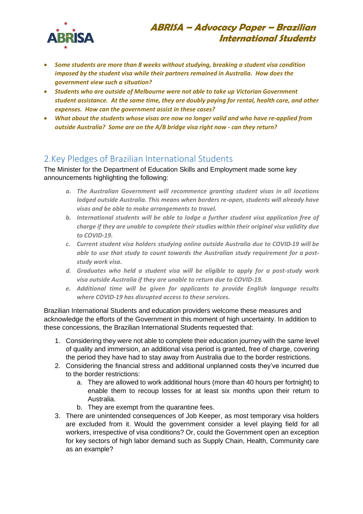

- *Some students are more than 8 weeks without studying, breaking a student visa condition imposed by the student visa while their partners remained in Australia. How does the government view such a situation?*
- *Students who are outside of Melbourne were not able to take up Victorian Government student assistance. At the same time, they are doubly paying for rental, health care, and other expenses. How can the government assist in these cases?*
- *What about the students whose visas are now no longer valid and who have re-applied from outside Australia? Some are on the A/B bridge visa right now - can they return?*

### 2.Key Pledges of Brazilian International Students

The Minister for the Department of Education Skills and Employment made some key announcements highlighting the following:

- *a. The Australian Government will recommence granting student visas in all locations lodged outside Australia. This means when borders re-open, students will already have visas and be able to make arrangements to travel.*
- *b. International students will be able to lodge a further student visa application free of charge if they are unable to complete their studies within their original visa validity due to COVID-19.*
- *c. Current student visa holders studying online outside Australia due to COVID-19 will be able to use that study to count towards the Australian study requirement for a poststudy work visa.*
- *d. Graduates who held a student visa will be eligible to apply for a post-study work visa outside Australia if they are unable to return due to COVID-19.*
- *e. Additional time will be given for applicants to provide English language results where COVID-19 has disrupted access to these services.*

Brazilian International Students and education providers welcome these measures and acknowledge the efforts of the Government in this moment of high uncertainty. In addition to these concessions, the Brazilian International Students requested that:

- 1. Considering they were not able to complete their education journey with the same level of quality and immersion, an additional visa period is granted, free of charge, covering the period they have had to stay away from Australia due to the border restrictions.
- 2. Considering the financial stress and additional unplanned costs they've incurred due to the border restrictions:
	- a. They are allowed to work additional hours (more than 40 hours per fortnight) to enable them to recoup losses for at least six months upon their return to Australia.
	- b. They are exempt from the quarantine fees.
- 3. There are unintended consequences of Job Keeper, as most temporary visa holders are excluded from it. Would the government consider a level playing field for all workers, irrespective of visa conditions? Or, could the Government open an exception for key sectors of high labor demand such as Supply Chain, Health, Community care as an example?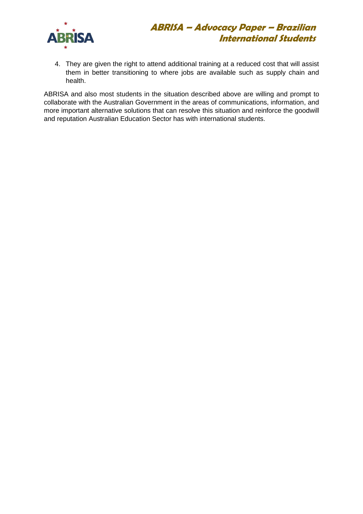

4. They are given the right to attend additional training at a reduced cost that will assist them in better transitioning to where jobs are available such as supply chain and health.

ABRISA and also most students in the situation described above are willing and prompt to collaborate with the Australian Government in the areas of communications, information, and more important alternative solutions that can resolve this situation and reinforce the goodwill and reputation Australian Education Sector has with international students.